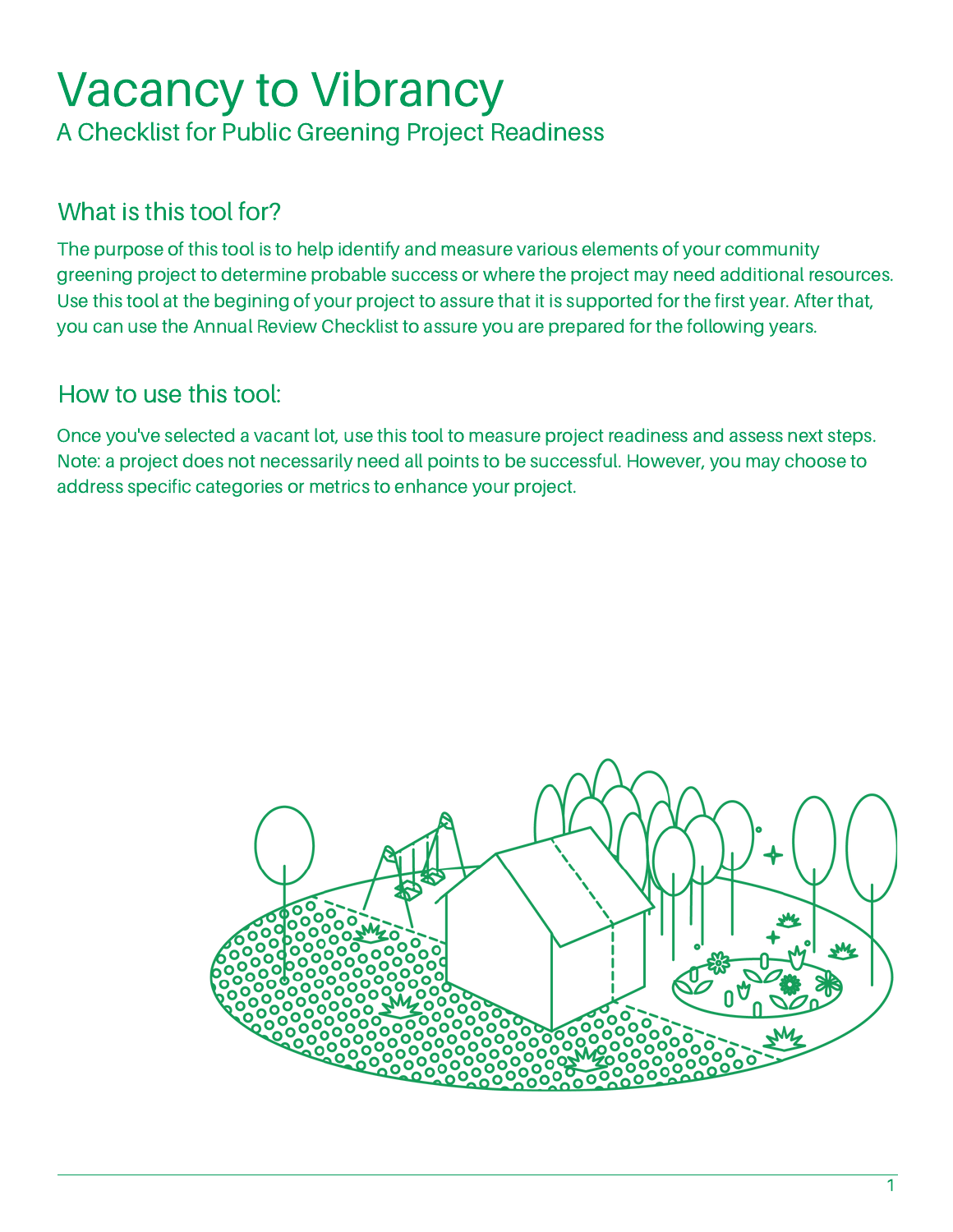# Vacancy to Vibrancy A Checklist for Public Greening Project Readiness

# What is this tool for?

The purpose of this tool is to help identify and measure various elements of your community greening project to determine probable success or where the project may need additional resources. Use this tool at the begining of your project to assure that it is supported for the first year. After that, you can use the Annual Review Checklist to assure you are prepared for the following years.

### How to use this tool:

Once you've selected a vacant lot, use this tool to measure project readiness and assess next steps. Note: a project does not necessarily need all points to be successful. However, you may choose to address specific categories or metrics to enhance your project.

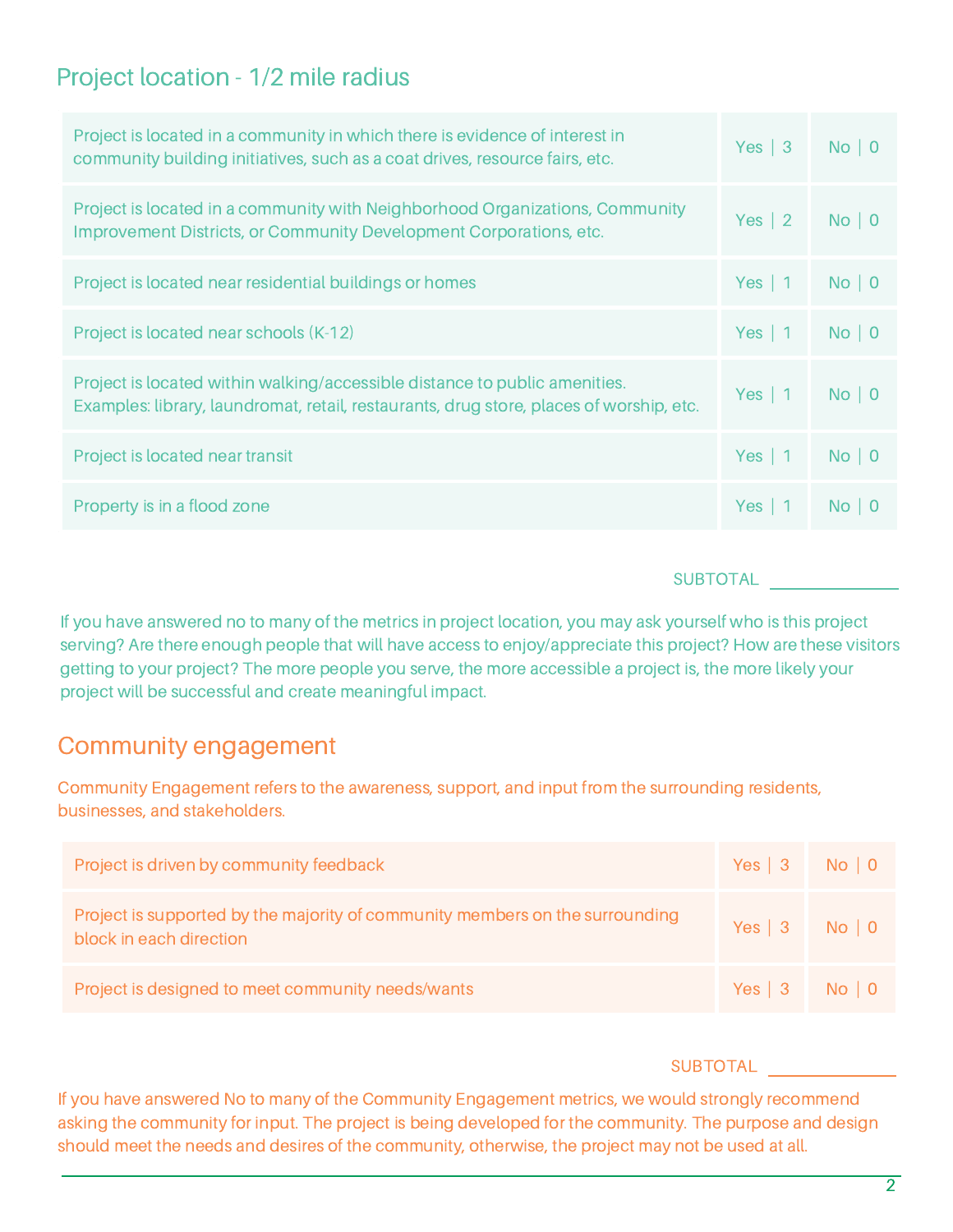### Project location - 1/2 mile radius

| Project is located in a community in which there is evidence of interest in<br>community building initiatives, such as a coat drives, resource fairs, etc.            | Yes $\vert 3 \vert$ | No   0 |
|-----------------------------------------------------------------------------------------------------------------------------------------------------------------------|---------------------|--------|
| Project is located in a community with Neighborhood Organizations, Community<br>Improvement Districts, or Community Development Corporations, etc.                    | Yes $\vert 2 \vert$ | No   0 |
| Project is located near residential buildings or homes                                                                                                                | Yes   $1$           | No   0 |
| Project is located near schools (K-12)                                                                                                                                | Yes   $1$           | No   0 |
| Project is located within walking/accessible distance to public amenities.<br>Examples: library, laundromat, retail, restaurants, drug store, places of worship, etc. | Yes   $1$           | No   0 |
| Project is located near transit                                                                                                                                       | Yes   $1$           | No   0 |
| Property is in a flood zone                                                                                                                                           | $Yes \mid$          | No   0 |

#### **SUBTOTAL**

If you have answered no to many of the metrics in project location, you may ask yourself who is this project serving? Are there enough people that will have access to enjoy/appreciate this project? How are these visitors getting to your project? The more people you serve, the more accessible a project is, the more likely your project will be successful and create meaningful impact.

### Community engagement

Community Engagement refers to the awareness, support, and input from the surrounding residents, businesses, and stakeholders.

| Project is driven by community feedback                                                                 | $Yes   3$ No   0 |  |
|---------------------------------------------------------------------------------------------------------|------------------|--|
| Project is supported by the majority of community members on the surrounding<br>block in each direction | Yes   3   No   0 |  |
| Project is designed to meet community needs/wants                                                       | Yes   3   No   0 |  |

#### SUBTOTAL

If you have answered No to many of the Community Engagement metrics, we would strongly recommend asking the community for input. The project is being developed for the community. The purpose and design should meet the needs and desires of the community, otherwise, the project may not be used at all.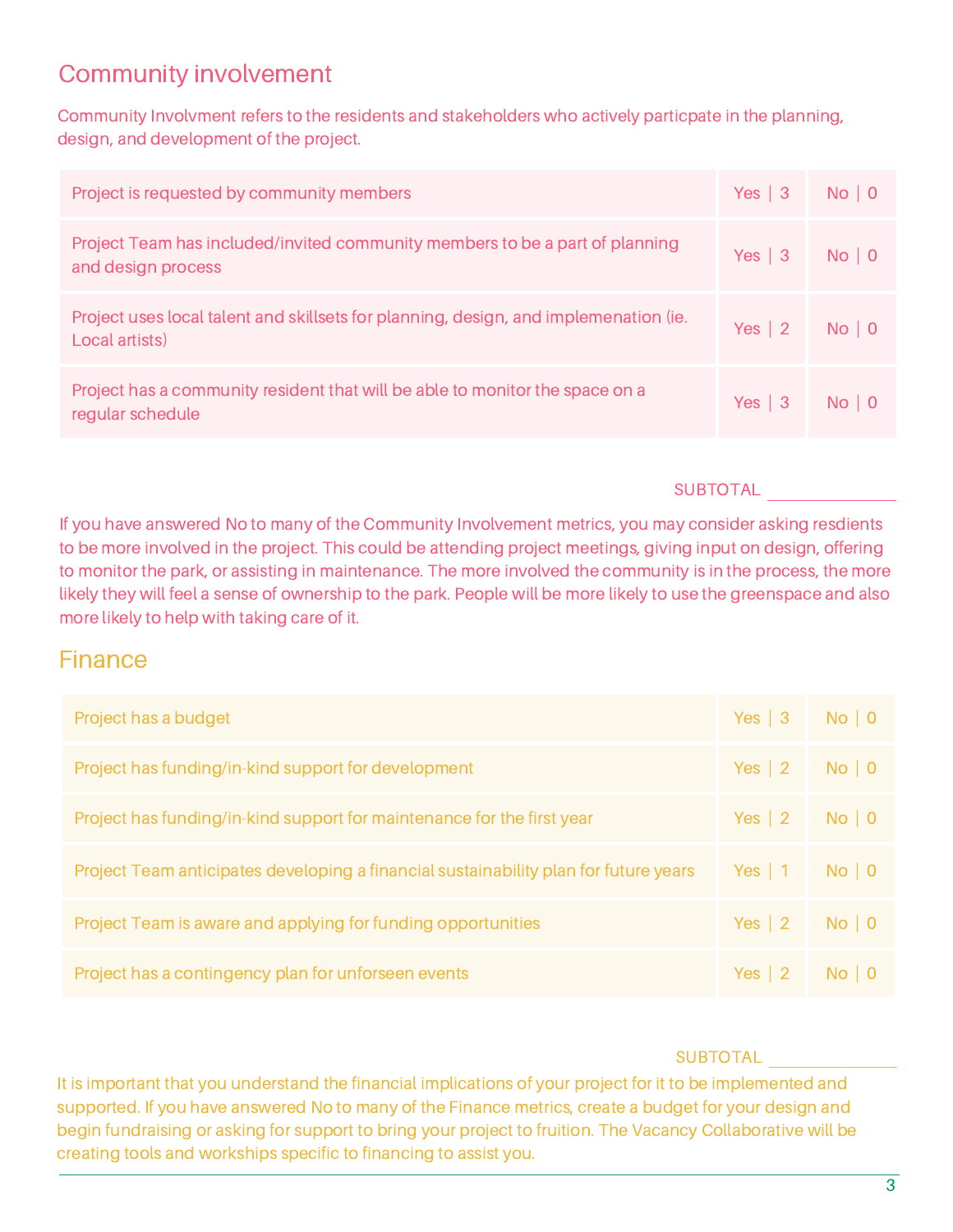### Community involvement

Community Involvment refers to the residents and stakeholders who actively particpate in the planning, design, and development of the project.

| Project is requested by community members                                                              | $Yes   3$ No   0 |  |
|--------------------------------------------------------------------------------------------------------|------------------|--|
| Project Team has included/invited community members to be a part of planning<br>and design process     | $Yes   3$ No   0 |  |
| Project uses local talent and skillsets for planning, design, and implemenation (ie.<br>Local artists) | Yes   2 No   0   |  |
| Project has a community resident that will be able to monitor the space on a<br>regular schedule       | $Yes   3$ No   0 |  |

#### **SUBTOTAL**

If you have answered No to many of the Community Involvement metrics, you may consider asking resdients to be more involved in the project. This could be attending project meetings, giving input on design, offering to monitor the park, or assisting in maintenance. The more involved the community is in the process, the more likely they will feel a sense of ownership to the park. People will be more likely to use the greenspace and also more likely to help with taking care of it.

### Finance

| Project has a budget                                                                 | Yes   3 No   0      |        |
|--------------------------------------------------------------------------------------|---------------------|--------|
| Project has funding/in-kind support for development                                  | Yes $ 2 $           | No   0 |
| Project has funding/in-kind support for maintenance for the first year               | Yes $\vert 2 \vert$ | No   0 |
| Project Team anticipates developing a financial sustainability plan for future years | Yes $\vert$ 1       | No   0 |
| Project Team is aware and applying for funding opportunities                         | Yes $\vert 2 \vert$ | No   0 |
| Project has a contingency plan for unforseen events                                  | Yes $\vert 2 \vert$ | No   0 |

#### **SUBTOTAL**

It is important that you understand the financial implications of your project for it to be implemented and supported. If you have answered No to many of the Finance metrics, create a budget for your design and begin fundraising or asking for support to bring your project to fruition. The Vacancy Collaborative will be creating tools and workships specific to financing to assist you.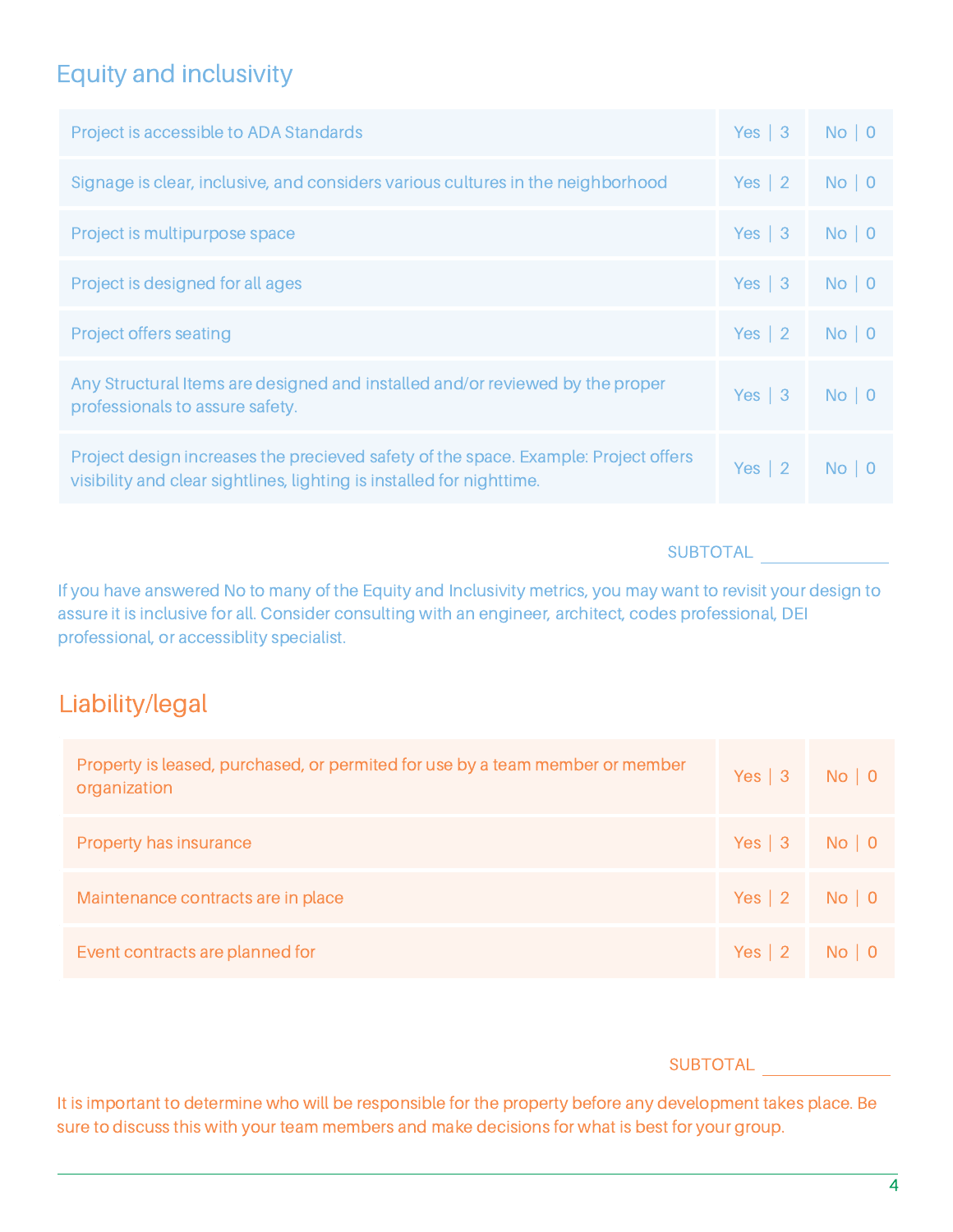## Equity and inclusivity

| Project is accessible to ADA Standards                                                                                                                       | Yes $\vert 3$       | No   0 |
|--------------------------------------------------------------------------------------------------------------------------------------------------------------|---------------------|--------|
| Signage is clear, inclusive, and considers various cultures in the neighborhood                                                                              | Yes $ 2 $           | No   0 |
| Project is multipurpose space                                                                                                                                | Yes $\vert 3$       | No   0 |
| Project is designed for all ages                                                                                                                             | Yes $\vert 3$       | No   0 |
| Project offers seating                                                                                                                                       | Yes $ 2 $           | No   0 |
| Any Structural Items are designed and installed and/or reviewed by the proper<br>professionals to assure safety.                                             | Yes $\vert 3$       | No   0 |
| Project design increases the precieved safety of the space. Example: Project offers<br>visibility and clear sightlines, lighting is installed for nighttime. | Yes $\vert 2 \vert$ | No   0 |

#### **SUBTOTAL**

If you have answered No to many of the Equity and Inclusivity metrics, you may want to revisit your design to assure it is inclusive for all. Consider consulting with an engineer, architect, codes professional, DEI professional, or accessiblity specialist.

### Liability/legal

| Property is leased, purchased, or permited for use by a team member or member<br>organization | $Yes \mid 3$     | No   0 |
|-----------------------------------------------------------------------------------------------|------------------|--------|
| Property has insurance                                                                        | $Yes   3$ No   0 |        |
| Maintenance contracts are in place                                                            | Yes   2 No   0   |        |
| Event contracts are planned for                                                               | Yes   2 No   0   |        |

#### SUBTOTAL

It is important to determine who will be responsible for the property before any development takes place. Be sure to discuss this with your team members and make decisions for what is best for your group.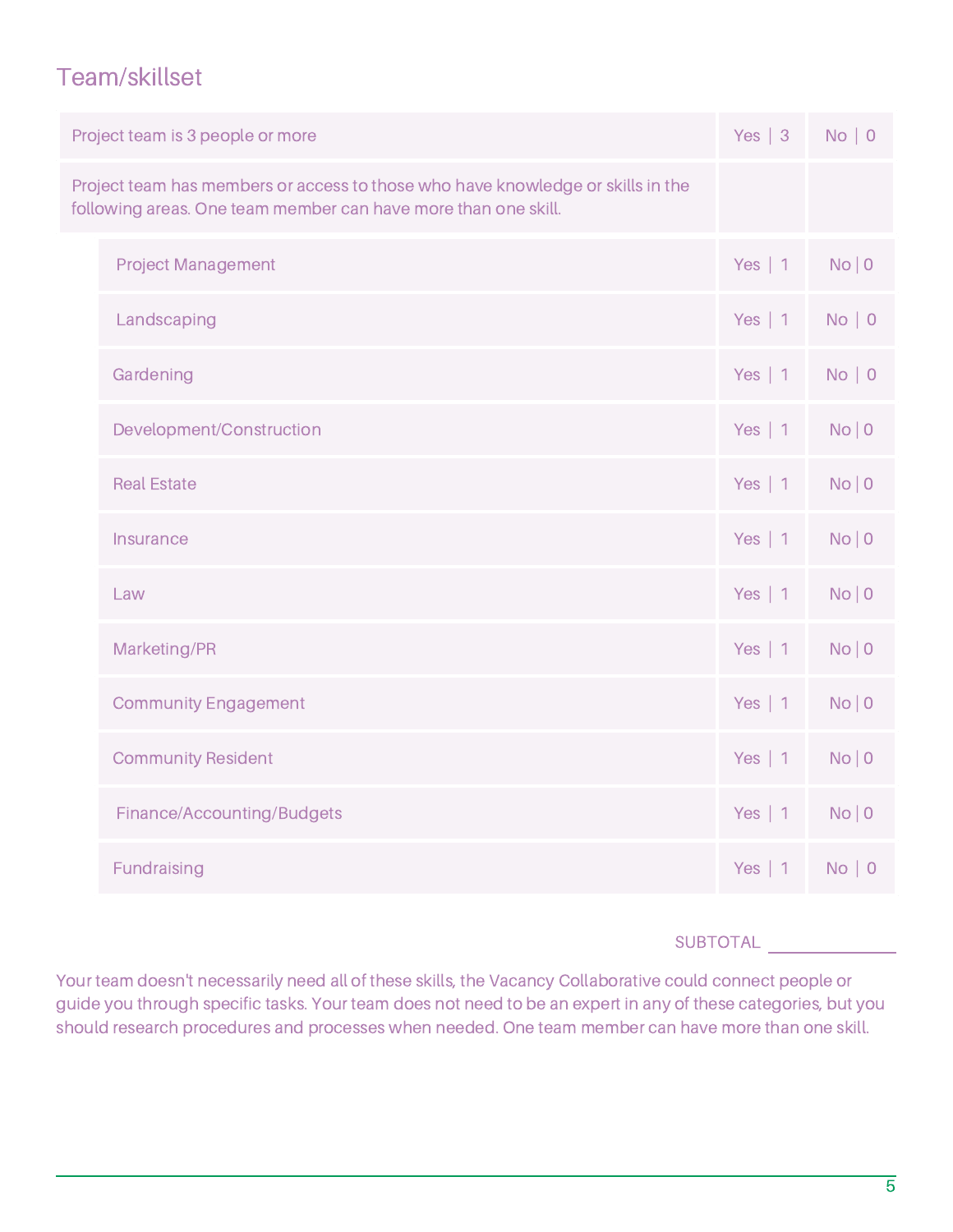### Team/skillset

|                                                                                                                                                   | Project team is 3 people or more | Yes $ 3 $     | No   0 |
|---------------------------------------------------------------------------------------------------------------------------------------------------|----------------------------------|---------------|--------|
| Project team has members or access to those who have knowledge or skills in the<br>following areas. One team member can have more than one skill. |                                  |               |        |
|                                                                                                                                                   | <b>Project Management</b>        | Yes   $1$     | No   0 |
|                                                                                                                                                   | Landscaping                      | Yes   $1$     | No   0 |
|                                                                                                                                                   | Gardening                        | Yes   $1$     | No   0 |
|                                                                                                                                                   | Development/Construction         | Yes   $1$     | No   0 |
|                                                                                                                                                   | <b>Real Estate</b>               | Yes   $1$     | No   0 |
|                                                                                                                                                   | Insurance                        | Yes   $1$     | No   0 |
|                                                                                                                                                   | Law                              | Yes   $1$     | No   0 |
|                                                                                                                                                   | Marketing/PR                     | Yes   $1$     | No   0 |
|                                                                                                                                                   | <b>Community Engagement</b>      | Yes $  1$     | No   0 |
|                                                                                                                                                   | <b>Community Resident</b>        | Yes $  1$     | No   0 |
|                                                                                                                                                   | Finance/Accounting/Budgets       | Yes $  1$     | No   0 |
|                                                                                                                                                   | Fundraising                      | Yes $\vert$ 1 | No   0 |

#### **SUBTOTAL**

Your team doesn't necessarily need all of these skills, the Vacancy Collaborative could connect people or guide you through specific tasks. Your team does not need to be an expert in any of these categories, but you should research procedures and processes when needed. One team member can have more than one skill.